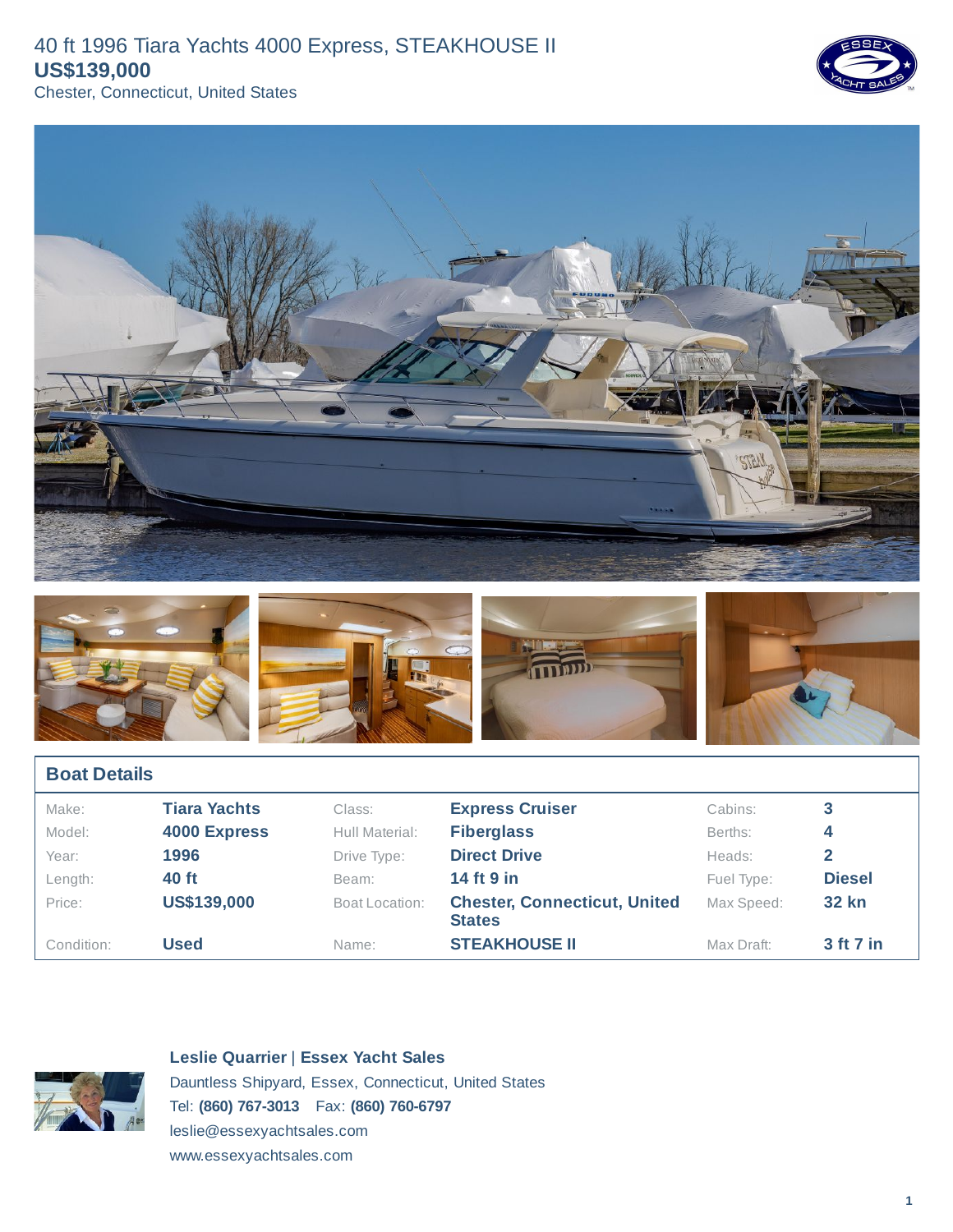





| <b>Boat Details</b> |                     |                |                                                      |            |                  |  |  |  |
|---------------------|---------------------|----------------|------------------------------------------------------|------------|------------------|--|--|--|
| Make:               | <b>Tiara Yachts</b> | Class:         | <b>Express Cruiser</b>                               | Cabins:    | 3                |  |  |  |
| Model:              | 4000 Express        | Hull Material: | <b>Fiberglass</b>                                    | Berths:    | 4                |  |  |  |
| Year:               | 1996                | Drive Type:    | <b>Direct Drive</b>                                  | Heads:     |                  |  |  |  |
| Length:             | 40 ft               | Beam:          | 14 ft 9 in                                           | Fuel Type: | <b>Diesel</b>    |  |  |  |
| Price:              | <b>US\$139,000</b>  | Boat Location: | <b>Chester, Connecticut, United</b><br><b>States</b> | Max Speed: | <b>32 kn</b>     |  |  |  |
| Condition:          | <b>Used</b>         | Name:          | <b>STEAKHOUSE II</b>                                 | Max Draft: | <b>3 ft 7 in</b> |  |  |  |



**Leslie Quarrier** | **Essex Yacht Sales**

Dauntless Shipyard, Essex, Connecticut, United States Tel: **(860) 767-3013** Fax: **(860) 760-6797** leslie@essexyachtsales.com

www.essexyachtsales.com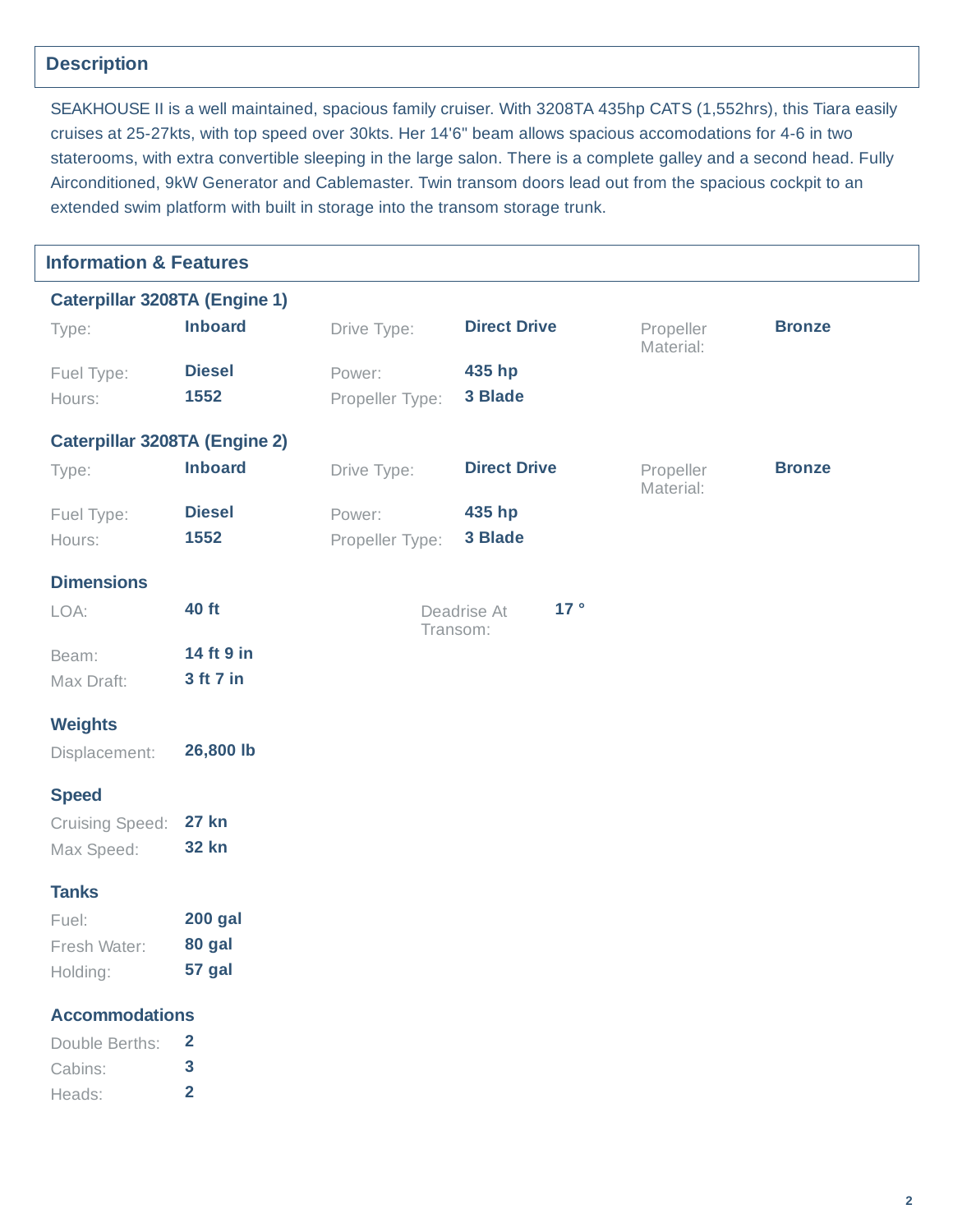# **Description**

SEAKHOUSE II is a well maintained, spacious family cruiser. With 3208TA 435hp CATS (1,552hrs), this Tiara easily cruises at 25-27kts, with top speed over 30kts. Her 14'6" beam allows spacious accomodations for 4-6 in two staterooms, with extra convertible sleeping in the large salon. There is a complete galley and a second head. Fully Airconditioned, 9kW Generator and Cablemaster. Twin transom doors lead out from the spacious cockpit to an extended swim platform with built in storage into the transom storage trunk.

| <b>Information &amp; Features</b>    |                         |                 |                                |                        |               |
|--------------------------------------|-------------------------|-----------------|--------------------------------|------------------------|---------------|
| <b>Caterpillar 3208TA (Engine 1)</b> |                         |                 |                                |                        |               |
| Type:                                | <b>Inboard</b>          | Drive Type:     | <b>Direct Drive</b>            | Propeller<br>Material: | <b>Bronze</b> |
| Fuel Type:                           | <b>Diesel</b>           | Power:          | 435 hp                         |                        |               |
| Hours:                               | 1552                    | Propeller Type: | 3 Blade                        |                        |               |
| <b>Caterpillar 3208TA (Engine 2)</b> |                         |                 |                                |                        |               |
| Type:                                | <b>Inboard</b>          | Drive Type:     | <b>Direct Drive</b>            | Propeller<br>Material: | <b>Bronze</b> |
| Fuel Type:                           | <b>Diesel</b>           | Power:          | 435 hp                         |                        |               |
| Hours:                               | 1552                    | Propeller Type: | 3 Blade                        |                        |               |
| <b>Dimensions</b>                    |                         |                 |                                |                        |               |
| LOA:                                 | 40 ft                   |                 | 17°<br>Deadrise At<br>Transom: |                        |               |
| Beam:                                | 14 ft 9 in              |                 |                                |                        |               |
| Max Draft:                           | 3 ft 7 in               |                 |                                |                        |               |
| <b>Weights</b>                       |                         |                 |                                |                        |               |
| Displacement:                        | 26,800 lb               |                 |                                |                        |               |
| <b>Speed</b>                         |                         |                 |                                |                        |               |
| Cruising Speed:                      | <b>27 kn</b>            |                 |                                |                        |               |
| Max Speed:                           | <b>32 kn</b>            |                 |                                |                        |               |
| <b>Tanks</b>                         |                         |                 |                                |                        |               |
| Fuel:                                | <b>200 gal</b>          |                 |                                |                        |               |
| Fresh Water:                         | 80 gal                  |                 |                                |                        |               |
| Holding:                             | 57 gal                  |                 |                                |                        |               |
| <b>Accommodations</b>                |                         |                 |                                |                        |               |
| Double Berths:                       | $\overline{2}$          |                 |                                |                        |               |
| Cabins:                              | 3                       |                 |                                |                        |               |
| Heads:                               | $\overline{\mathbf{2}}$ |                 |                                |                        |               |
|                                      |                         |                 |                                |                        |               |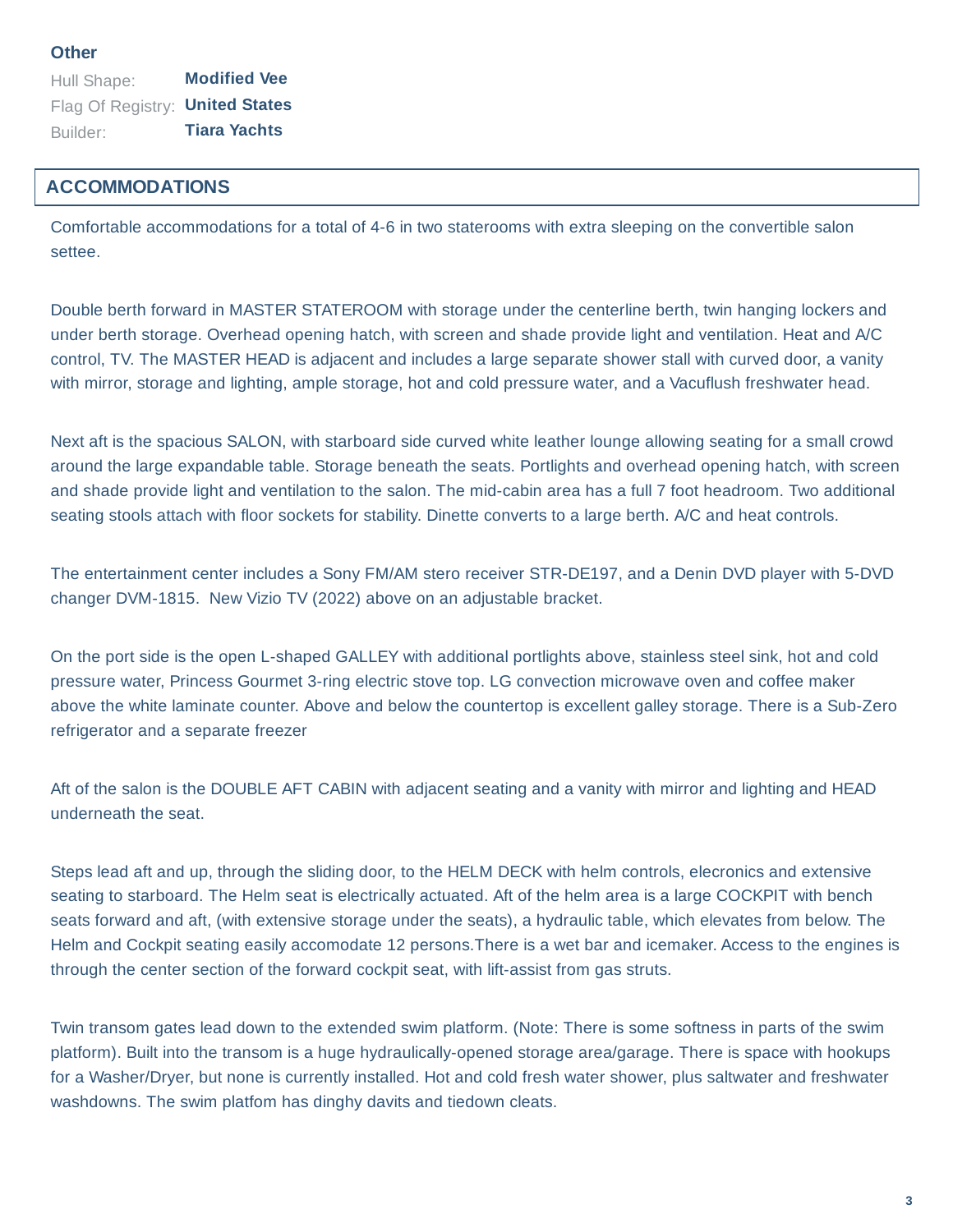Hull Shape: **Modified Vee** Flag Of Registry: **United States** Builder: **Tiara Yachts**

### **ACCOMMODATIONS**

Comfortable accommodations for a total of 4-6 in two staterooms with extra sleeping on the convertible salon settee.

Double berth forward in MASTER STATEROOM with storage under the centerline berth, twin hanging lockers and under berth storage. Overhead opening hatch, with screen and shade provide light and ventilation. Heat and A/C control, TV. The MASTER HEAD is adjacent and includes a large separate shower stall with curved door, a vanity with mirror, storage and lighting, ample storage, hot and cold pressure water, and a Vacuflush freshwater head.

Next aft is the spacious SALON, with starboard side curved white leather lounge allowing seating for a small crowd around the large expandable table. Storage beneath the seats. Portlights and overhead opening hatch, with screen and shade provide light and ventilation to the salon. The mid-cabin area has a full 7 foot headroom. Two additional seating stools attach with floor sockets for stability. Dinette converts to a large berth. A/C and heat controls.

The entertainment center includes a Sony FM/AM stero receiver STR-DE197, and a Denin DVD player with 5-DVD changer DVM-1815. New Vizio TV (2022) above on an adjustable bracket.

On the port side is the open L-shaped GALLEY with additional portlights above, stainless steel sink, hot and cold pressure water, Princess Gourmet 3-ring electric stove top. LG convection microwave oven and coffee maker above the white laminate counter. Above and below the countertop is excellent galley storage. There is a Sub-Zero refrigerator and a separate freezer

Aft of the salon is the DOUBLE AFT CABIN with adjacent seating and a vanity with mirror and lighting and HEAD underneath the seat.

Steps lead aft and up, through the sliding door, to the HELM DECK with helm controls, elecronics and extensive seating to starboard. The Helm seat is electrically actuated. Aft of the helm area is a large COCKPIT with bench seats forward and aft, (with extensive storage under the seats), a hydraulic table, which elevates from below. The Helm and Cockpit seating easily accomodate 12 persons.There is a wet bar and icemaker. Access to the engines is through the center section of the forward cockpit seat, with lift-assist from gas struts.

Twin transom gates lead down to the extended swim platform. (Note: There is some softness in parts of the swim platform). Built into the transom is a huge hydraulically-opened storage area/garage. There is space with hookups for a Washer/Dryer, but none is currently installed. Hot and cold fresh water shower, plus saltwater and freshwater washdowns. The swim platfom has dinghy davits and tiedown cleats.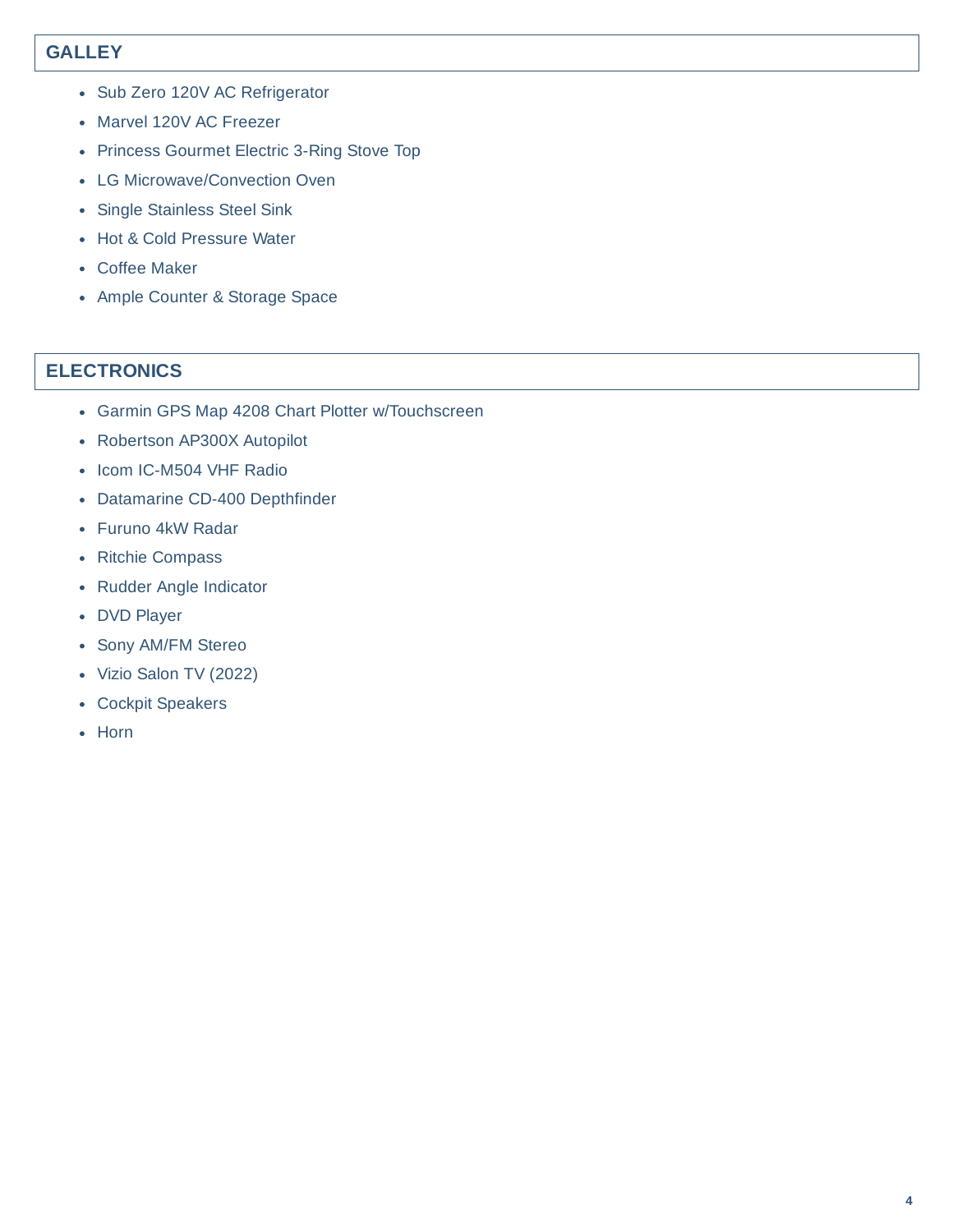# **GALLEY**

- Sub Zero 120V AC Refrigerator
- Marvel 120V AC Freezer
- Princess Gourmet Electric 3-Ring Stove Top
- LG Microwave/Convection Oven
- Single Stainless Steel Sink
- Hot & Cold Pressure Water
- Coffee Maker
- Ample Counter & Storage Space

### **ELECTRONICS**

- Garmin GPS Map 4208 Chart Plotter w/Touchscreen
- Robertson AP300X Autopilot
- Icom IC-M504 VHF Radio
- Datamarine CD-400 Depthfinder
- Furuno 4kW Radar
- Ritchie Compass
- Rudder Angle Indicator
- DVD Player
- Sony AM/FM Stereo
- Vizio Salon TV (2022)
- Cockpit Speakers
- Horn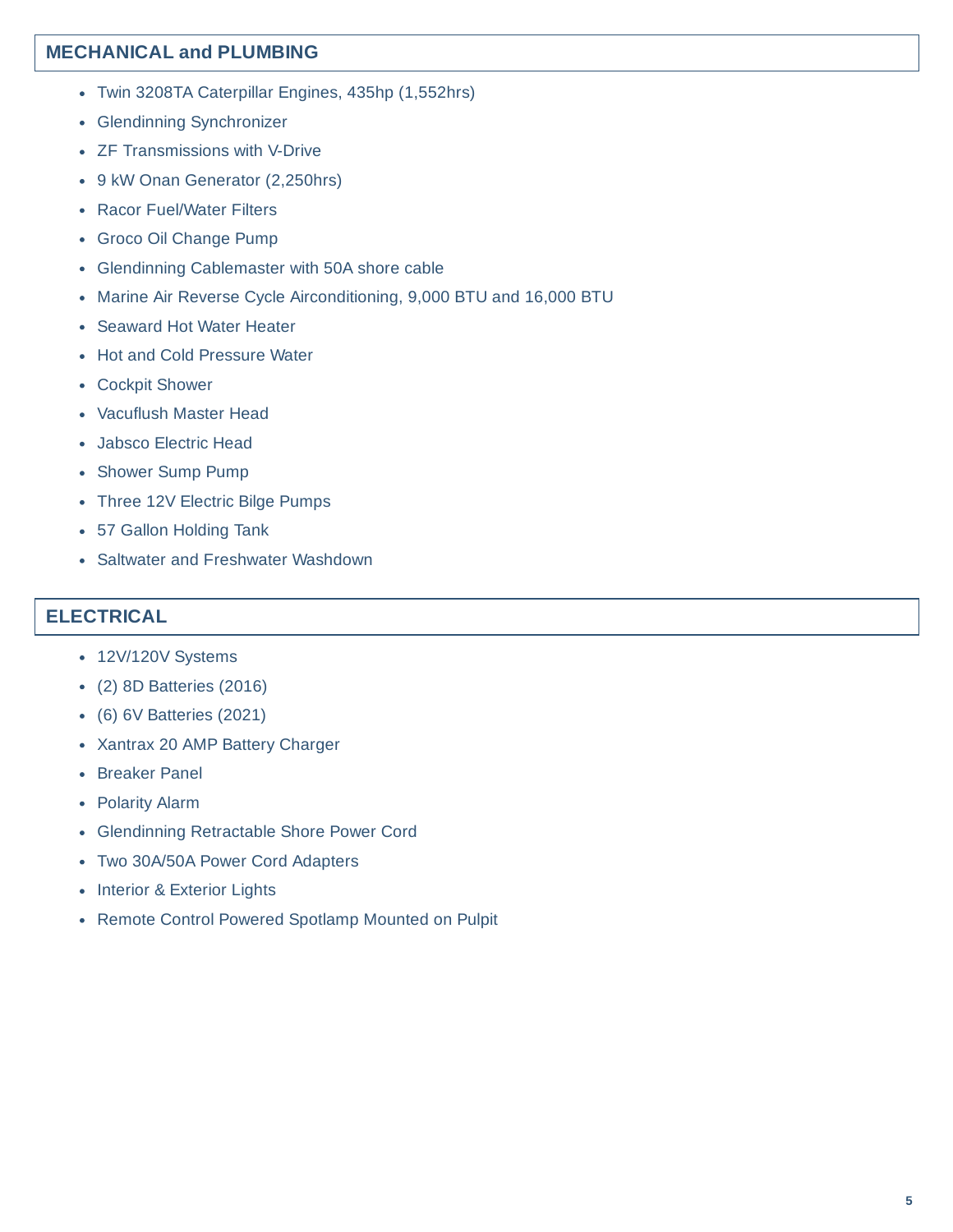### **MECHANICAL and PLUMBING**

- Twin 3208TA Caterpillar Engines, 435hp (1,552hrs)
- Glendinning Synchronizer
- ZF Transmissions with V-Drive
- 9 kW Onan Generator (2,250hrs)
- Racor Fuel/Water Filters
- Groco Oil Change Pump
- Glendinning Cablemaster with 50A shore cable
- Marine Air Reverse Cycle Airconditioning, 9,000 BTU and 16,000 BTU
- Seaward Hot Water Heater
- Hot and Cold Pressure Water
- Cockpit Shower
- Vacuflush Master Head
- Jabsco Electric Head
- Shower Sump Pump
- Three 12V Electric Bilge Pumps
- 57 Gallon Holding Tank
- Saltwater and Freshwater Washdown

#### **ELECTRICAL**

- 12V/120V Systems
- (2) 8D Batteries (2016)
- (6) 6V Batteries (2021)
- Xantrax 20 AMP Battery Charger
- Breaker Panel
- Polarity Alarm
- Glendinning Retractable Shore Power Cord
- Two 30A/50A Power Cord Adapters
- Interior & Exterior Lights
- Remote Control Powered Spotlamp Mounted on Pulpit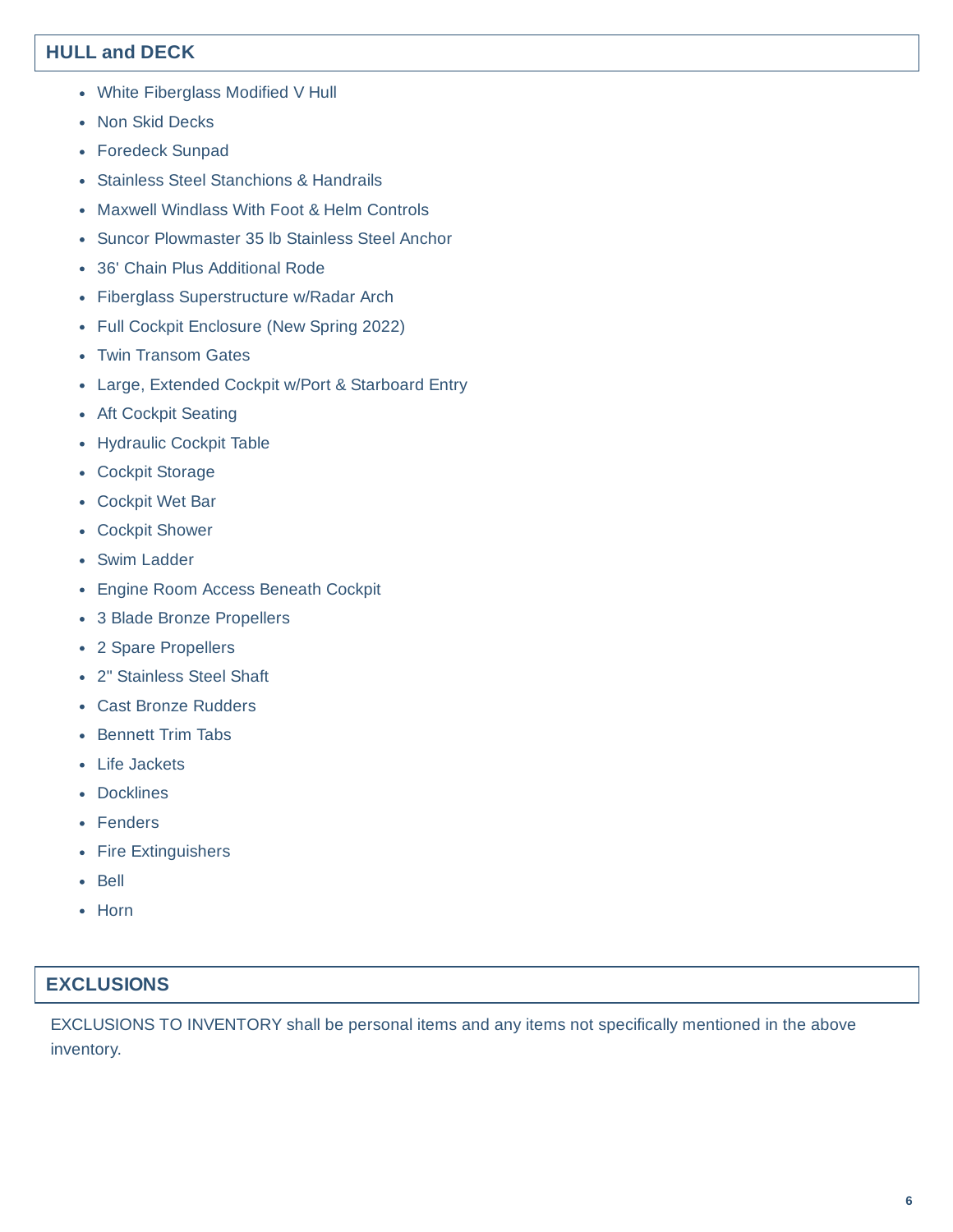## **HULL and DECK**

- White Fiberglass Modified V Hull
- Non Skid Decks
- Foredeck Sunpad
- Stainless Steel Stanchions & Handrails
- Maxwell Windlass With Foot & Helm Controls
- Suncor Plowmaster 35 lb Stainless Steel Anchor
- 36' Chain Plus Additional Rode
- Fiberglass Superstructure w/Radar Arch
- Full Cockpit Enclosure (New Spring 2022)
- Twin Transom Gates
- Large, Extended Cockpit w/Port & Starboard Entry
- Aft Cockpit Seating
- Hydraulic Cockpit Table
- Cockpit Storage
- Cockpit Wet Bar
- Cockpit Shower
- Swim Ladder
- Engine Room Access Beneath Cockpit
- 3 Blade Bronze Propellers
- 2 Spare Propellers
- 2" Stainless Steel Shaft
- Cast Bronze Rudders
- Bennett Trim Tabs
- Life Jackets
- Docklines
- Fenders
- Fire Extinguishers
- Bell
- Horn

### **EXCLUSIONS**

EXCLUSIONS TO INVENTORY shall be personal items and any items not specifically mentioned in the above inventory.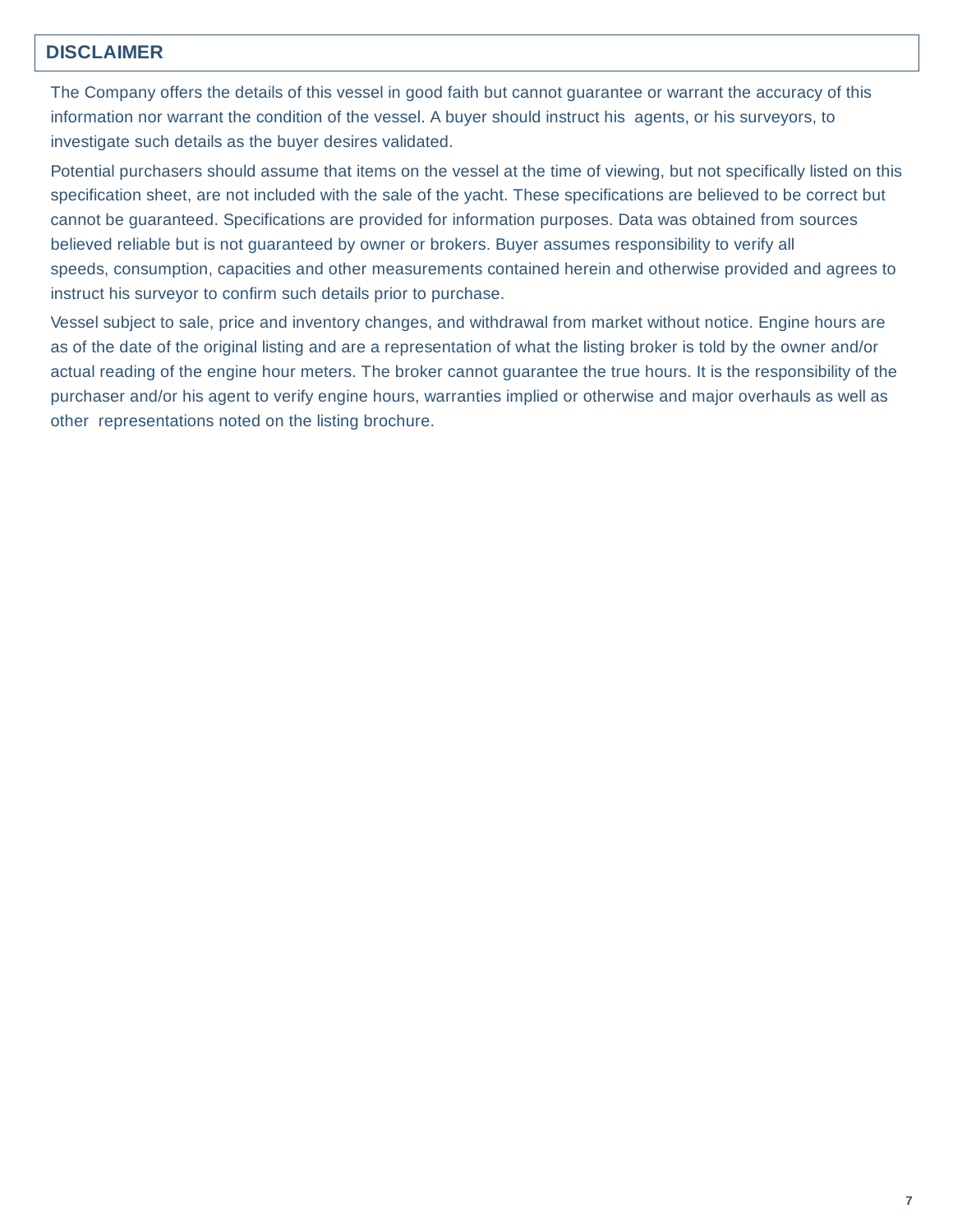### **DISCLAIMER**

The Company offers the details of this vessel in good faith but cannot guarantee or warrant the accuracy of this information nor warrant the condition of the vessel. A buyer should instruct his agents, or his surveyors, to investigate such details as the buyer desires validated.

Potential purchasers should assume that items on the vessel at the time of viewing, but not specifically listed on this specification sheet, are not included with the sale of the yacht. These specifications are believed to be correct but cannot be guaranteed. Specifications are provided for information purposes. Data was obtained from sources believed reliable but is not guaranteed by owner or brokers. Buyer assumes responsibility to verify all speeds, consumption, capacities and other measurements contained herein and otherwise provided and agrees to instruct his surveyor to confirm such details prior to purchase.

Vessel subject to sale, price and inventory changes, and withdrawal from market without notice. Engine hours are as of the date of the original listing and are a representation of what the listing broker is told by the owner and/or actual reading of the engine hour meters. The broker cannot guarantee the true hours. It is the responsibility of the purchaser and/or his agent to verify engine hours, warranties implied or otherwise and major overhauls as well as other representations noted on the listing brochure.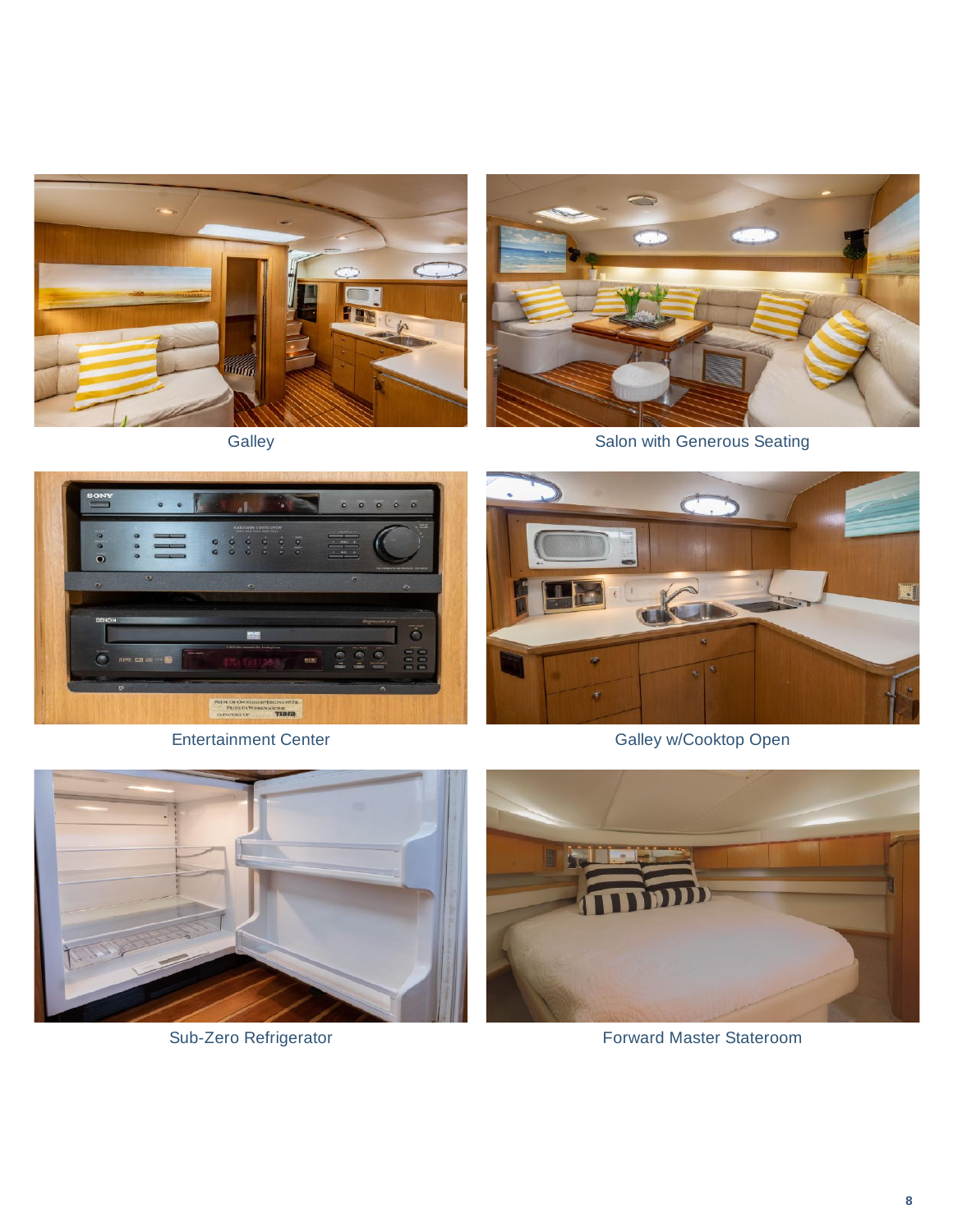







Entertainment Center Galley w/Cooktop Open





Sub-Zero Refrigerator Forward Master Stateroom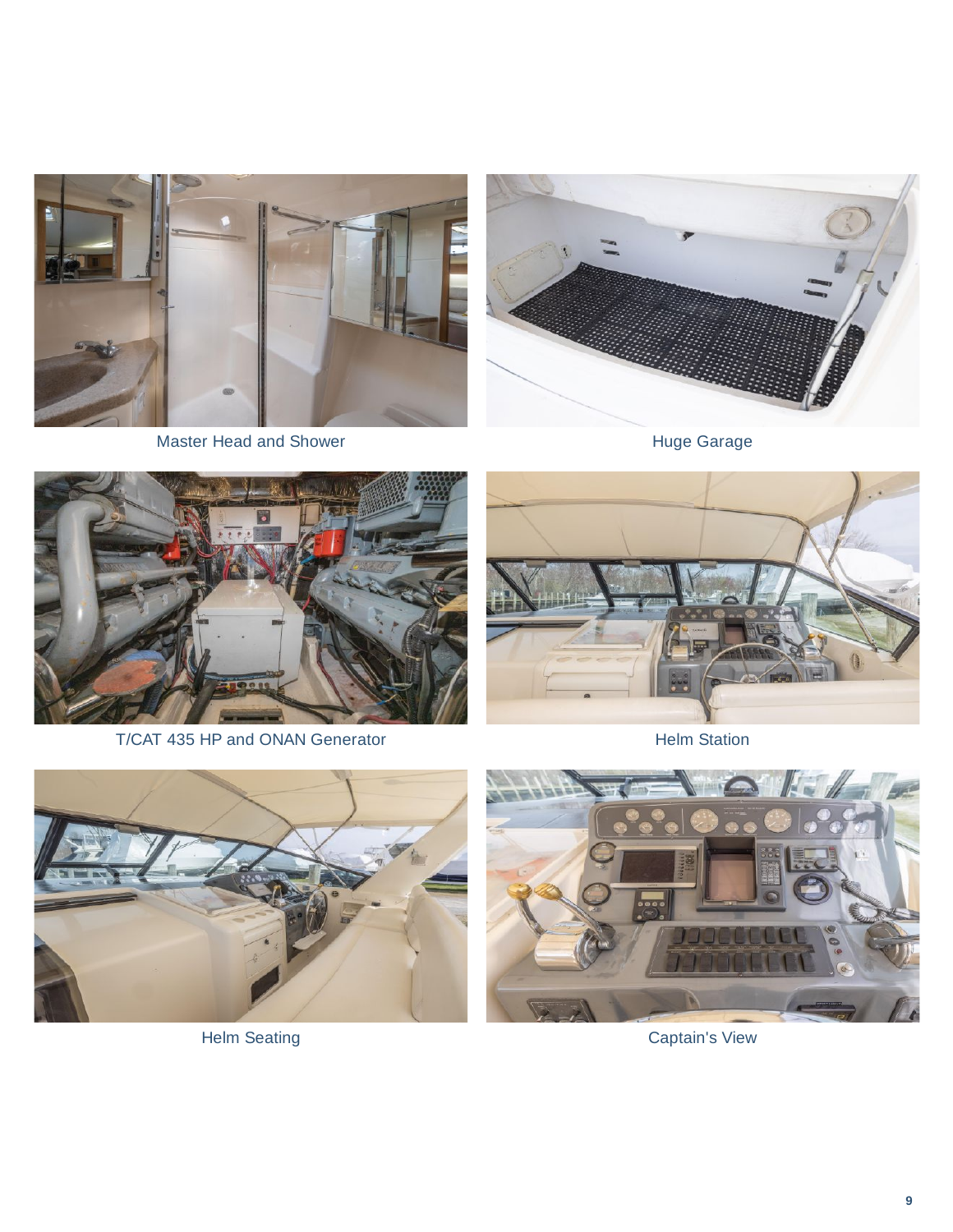

Master Head and Shower **Huge Garage** Huge Garage





T/CAT 435 HP and ONAN Generator **Helm Station** 







Helm Seating **Captain's View**